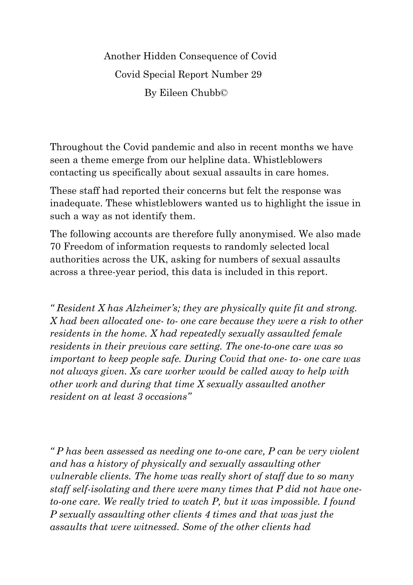Another Hidden Consequence of Covid Covid Special Report Number 29 By Eileen Chubb©

Throughout the Covid pandemic and also in recent months we have seen a theme emerge from our helpline data. Whistleblowers contacting us specifically about sexual assaults in care homes.

These staff had reported their concerns but felt the response was inadequate. These whistleblowers wanted us to highlight the issue in such a way as not identify them.

The following accounts are therefore fully anonymised. We also made 70 Freedom of information requests to randomly selected local authorities across the UK, asking for numbers of sexual assaults across a three-year period, this data is included in this report.

*" Resident X has Alzheimer's; they are physically quite fit and strong. X had been allocated one- to- one care because they were a risk to other residents in the home. X had repeatedly sexually assaulted female residents in their previous care setting. The one-to-one care was so important to keep people safe. During Covid that one- to- one care was not always given. Xs care worker would be called away to help with other work and during that time X sexually assaulted another resident on at least 3 occasions"*

*" P has been assessed as needing one to-one care, P can be very violent and has a history of physically and sexually assaulting other vulnerable clients. The home was really short of staff due to so many staff self-isolating and there were many times that P did not have oneto-one care. We really tried to watch P, but it was impossible. I found P sexually assaulting other clients 4 times and that was just the assaults that were witnessed. Some of the other clients had*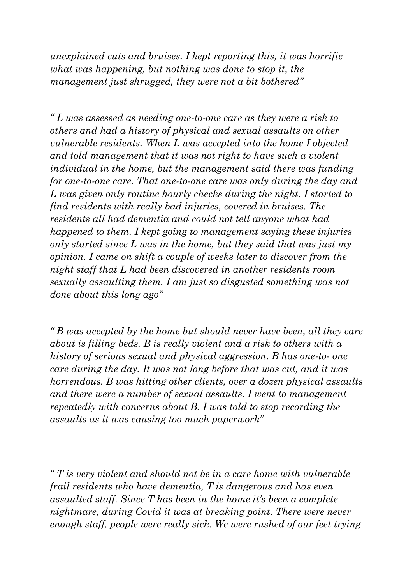*unexplained cuts and bruises. I kept reporting this, it was horrific what was happening, but nothing was done to stop it, the management just shrugged, they were not a bit bothered"*

*" L was assessed as needing one-to-one care as they were a risk to others and had a history of physical and sexual assaults on other vulnerable residents. When L was accepted into the home I objected and told management that it was not right to have such a violent individual in the home, but the management said there was funding for one-to-one care. That one-to-one care was only during the day and L was given only routine hourly checks during the night. I started to find residents with really bad injuries, covered in bruises. The residents all had dementia and could not tell anyone what had happened to them. I kept going to management saying these injuries only started since L was in the home, but they said that was just my opinion. I came on shift a couple of weeks later to discover from the night staff that L had been discovered in another residents room sexually assaulting them. I am just so disgusted something was not done about this long ago"*

*" B was accepted by the home but should never have been, all they care about is filling beds. B is really violent and a risk to others with a history of serious sexual and physical aggression. B has one-to- one care during the day. It was not long before that was cut, and it was horrendous. B was hitting other clients, over a dozen physical assaults and there were a number of sexual assaults. I went to management repeatedly with concerns about B. I was told to stop recording the assaults as it was causing too much paperwork"*

*" T is very violent and should not be in a care home with vulnerable frail residents who have dementia, T is dangerous and has even assaulted staff. Since T has been in the home it's been a complete nightmare, during Covid it was at breaking point. There were never enough staff, people were really sick. We were rushed of our feet trying*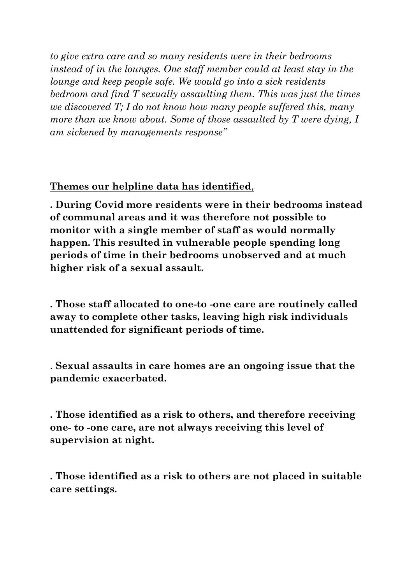*to give extra care and so many residents were in their bedrooms instead of in the lounges. One staff member could at least stay in the lounge and keep people safe. We would go into a sick residents bedroom and find T sexually assaulting them. This was just the times we discovered T; I do not know how many people suffered this, many more than we know about. Some of those assaulted by T were dying, I am sickened by managements response"* 

**Themes our helpline data has identified**,

**. During Covid more residents were in their bedrooms instead of communal areas and it was therefore not possible to monitor with a single member of staff as would normally happen. This resulted in vulnerable people spending long periods of time in their bedrooms unobserved and at much higher risk of a sexual assault.**

**. Those staff allocated to one-to -one care are routinely called away to complete other tasks, leaving high risk individuals unattended for significant periods of time.**

. **Sexual assaults in care homes are an ongoing issue that the pandemic exacerbated.**

**. Those identified as a risk to others, and therefore receiving one- to -one care, are not always receiving this level of supervision at night.**

**. Those identified as a risk to others are not placed in suitable care settings.**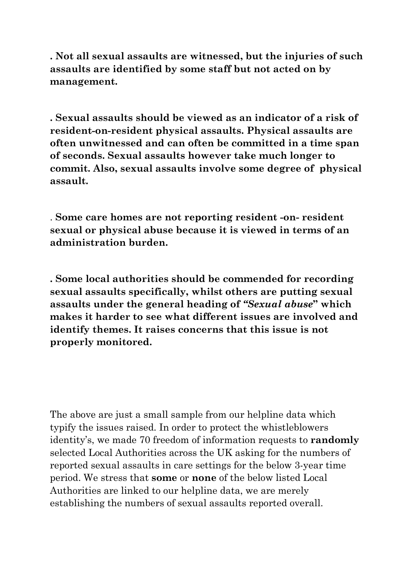**. Not all sexual assaults are witnessed, but the injuries of such assaults are identified by some staff but not acted on by management.**

**. Sexual assaults should be viewed as an indicator of a risk of resident-on-resident physical assaults. Physical assaults are often unwitnessed and can often be committed in a time span of seconds. Sexual assaults however take much longer to commit. Also, sexual assaults involve some degree of physical assault.**

. **Some care homes are not reporting resident -on- resident sexual or physical abuse because it is viewed in terms of an administration burden.**

**. Some local authorities should be commended for recording sexual assaults specifically, whilst others are putting sexual assaults under the general heading of** *"Sexual abuse***" which makes it harder to see what different issues are involved and identify themes. It raises concerns that this issue is not properly monitored.**

The above are just a small sample from our helpline data which typify the issues raised. In order to protect the whistleblowers identity's, we made 70 freedom of information requests to **randomly** selected Local Authorities across the UK asking for the numbers of reported sexual assaults in care settings for the below 3-year time period. We stress that **some** or **none** of the below listed Local Authorities are linked to our helpline data, we are merely establishing the numbers of sexual assaults reported overall.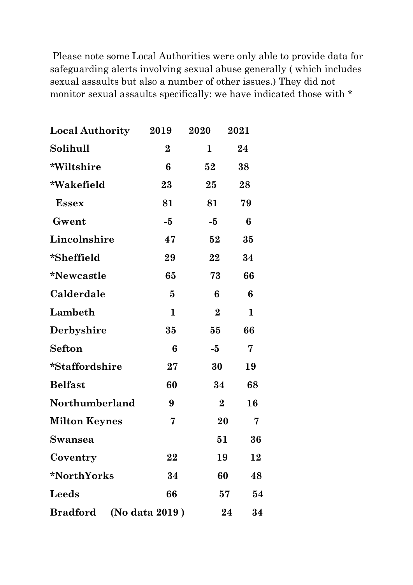Please note some Local Authorities were only able to provide data for safeguarding alerts involving sexual abuse generally ( which includes sexual assaults but also a number of other issues.) They did not monitor sexual assaults specifically: we have indicated those with \*

| <b>Local Authority</b>            | 2019        | 2020           | 2021        |
|-----------------------------------|-------------|----------------|-------------|
| Solihull                          | $\bf{2}$    | 1              | 24          |
| *Wiltshire                        | 6           | 52             | 38          |
| *Wakefield                        | 23          | 25             | 28          |
| <b>Essex</b>                      | 81          | 81             | 79          |
| Gwent                             | -5          | $-5$           | 6           |
| Lincolnshire                      | 47          | 52             | 35          |
| *Sheffield                        | 29          | 22             | 34          |
| <i>*Newcastle</i>                 | 65          | 73             | 66          |
| Calderdale                        | $\bf{5}$    | 6              | 6           |
| Lambeth                           | $\mathbf 1$ | $\overline{2}$ | $\mathbf 1$ |
| Derbyshire                        | 35          | 55             | 66          |
| <b>Sefton</b>                     | 6           | $-5$           | 7           |
| *Staffordshire                    | $27\,$      | 30             | 19          |
| <b>Belfast</b>                    | 60          | 34             | 68          |
| Northumberland                    | 9           | $\overline{2}$ | 16          |
| <b>Milton Keynes</b>              | 7           | 20             | 7           |
| <b>Swansea</b>                    |             | $\bf{51}$      | 36          |
| Coventry                          | 22          | 19             | 12          |
| *NorthYorks                       | 34          | 60             | 48          |
| Leeds                             | 66          | 57             | 54          |
| (No data 2019)<br><b>Bradford</b> |             |                | 24<br>34    |